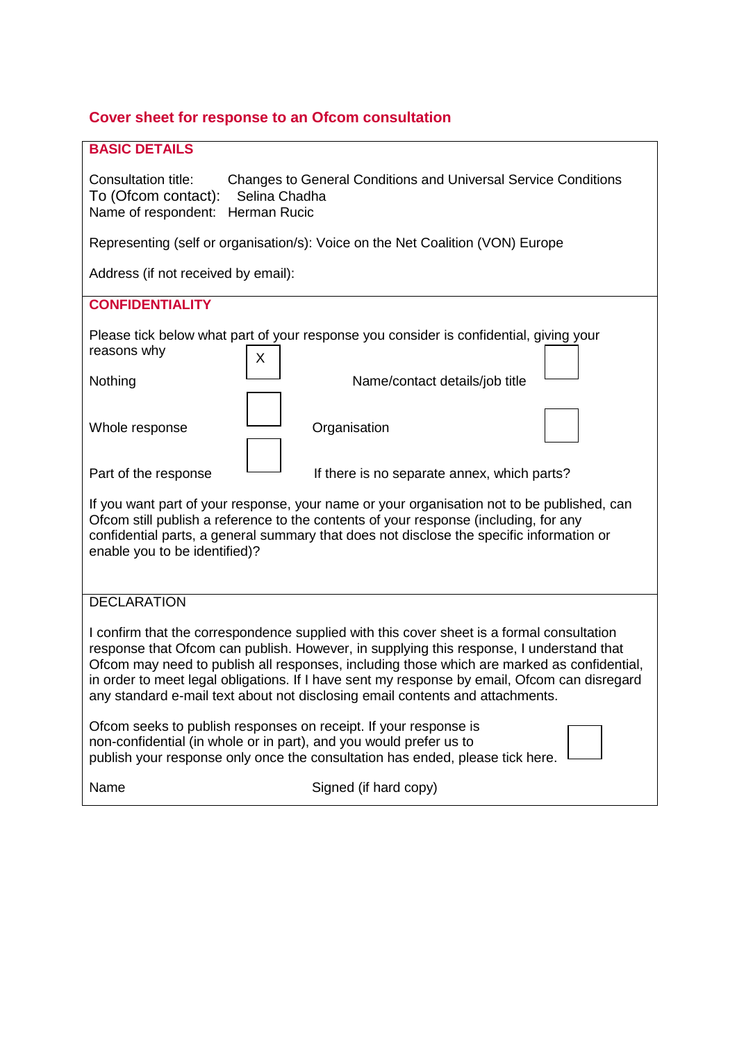## **Cover sheet for response to an Ofcom consultation**

| <b>BASIC DETAILS</b>                                                                                                                                                                                                                                                                                                                                                                                                                                                |
|---------------------------------------------------------------------------------------------------------------------------------------------------------------------------------------------------------------------------------------------------------------------------------------------------------------------------------------------------------------------------------------------------------------------------------------------------------------------|
| Consultation title:<br>Changes to General Conditions and Universal Service Conditions<br>To (Ofcom contact):<br>Selina Chadha<br>Name of respondent:<br><b>Herman Rucic</b>                                                                                                                                                                                                                                                                                         |
| Representing (self or organisation/s): Voice on the Net Coalition (VON) Europe                                                                                                                                                                                                                                                                                                                                                                                      |
| Address (if not received by email):                                                                                                                                                                                                                                                                                                                                                                                                                                 |
| <b>CONFIDENTIALITY</b>                                                                                                                                                                                                                                                                                                                                                                                                                                              |
| Please tick below what part of your response you consider is confidential, giving your<br>reasons why<br>X                                                                                                                                                                                                                                                                                                                                                          |
| Name/contact details/job title<br>Nothing                                                                                                                                                                                                                                                                                                                                                                                                                           |
| Organisation<br>Whole response                                                                                                                                                                                                                                                                                                                                                                                                                                      |
| Part of the response<br>If there is no separate annex, which parts?                                                                                                                                                                                                                                                                                                                                                                                                 |
| If you want part of your response, your name or your organisation not to be published, can<br>Ofcom still publish a reference to the contents of your response (including, for any<br>confidential parts, a general summary that does not disclose the specific information or<br>enable you to be identified)?                                                                                                                                                     |
| <b>DECLARATION</b>                                                                                                                                                                                                                                                                                                                                                                                                                                                  |
| I confirm that the correspondence supplied with this cover sheet is a formal consultation<br>response that Ofcom can publish. However, in supplying this response, I understand that<br>Ofcom may need to publish all responses, including those which are marked as confidential,<br>in order to meet legal obligations. If I have sent my response by email, Ofcom can disregard<br>any standard e-mail text about not disclosing email contents and attachments. |
| Ofcom seeks to publish responses on receipt. If your response is<br>non-confidential (in whole or in part), and you would prefer us to<br>publish your response only once the consultation has ended, please tick here.                                                                                                                                                                                                                                             |
| Name<br>Signed (if hard copy)                                                                                                                                                                                                                                                                                                                                                                                                                                       |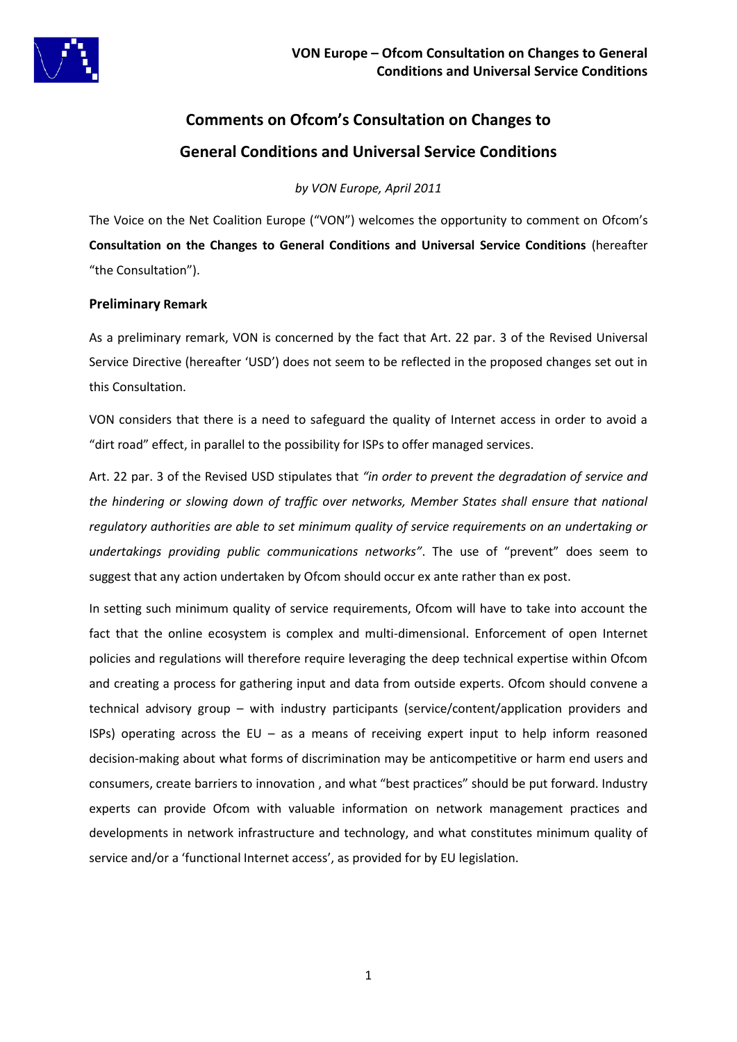

# **Comments on Ofcom's Consultation on Changes to General Conditions and Universal Service Conditions**

*by VON Europe, April 2011*

The Voice on the Net Coalition Europe ("VON") welcomes the opportunity to comment on Ofcom's **Consultation on the Changes to General Conditions and Universal Service Conditions** (hereafter "the Consultation").

### **Preliminary Remark**

As a preliminary remark, VON is concerned by the fact that Art. 22 par. 3 of the Revised Universal Service Directive (hereafter 'USD') does not seem to be reflected in the proposed changes set out in this Consultation.

VON considers that there is a need to safeguard the quality of Internet access in order to avoid a "dirt road" effect, in parallel to the possibility for ISPs to offer managed services.

Art. 22 par. 3 of the Revised USD stipulates that *"in order to prevent the degradation of service and the hindering or slowing down of traffic over networks, Member States shall ensure that national regulatory authorities are able to set minimum quality of service requirements on an undertaking or undertakings providing public communications networks"*. The use of "prevent" does seem to suggest that any action undertaken by Ofcom should occur ex ante rather than ex post.

In setting such minimum quality of service requirements, Ofcom will have to take into account the fact that the online ecosystem is complex and multi-dimensional. Enforcement of open Internet policies and regulations will therefore require leveraging the deep technical expertise within Ofcom and creating a process for gathering input and data from outside experts. Ofcom should convene a technical advisory group – with industry participants (service/content/application providers and ISPs) operating across the EU – as a means of receiving expert input to help inform reasoned decision-making about what forms of discrimination may be anticompetitive or harm end users and consumers, create barriers to innovation , and what "best practices" should be put forward. Industry experts can provide Ofcom with valuable information on network management practices and developments in network infrastructure and technology, and what constitutes minimum quality of service and/or a 'functional Internet access', as provided for by EU legislation.

1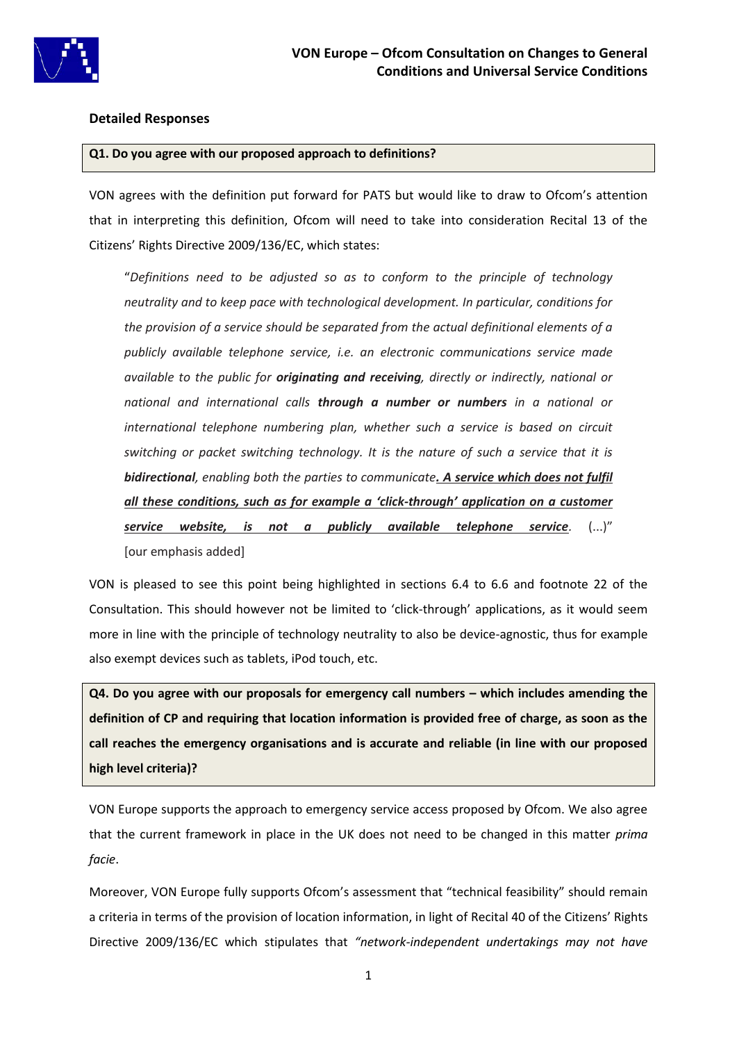

#### **Detailed Responses**

#### **Q1. Do you agree with our proposed approach to definitions?**

VON agrees with the definition put forward for PATS but would like to draw to Ofcom's attention that in interpreting this definition, Ofcom will need to take into consideration Recital 13 of the Citizens' Rights Directive 2009/136/EC, which states:

"*Definitions need to be adjusted so as to conform to the principle of technology neutrality and to keep pace with technological development. In particular, conditions for the provision of a service should be separated from the actual definitional elements of a publicly available telephone service, i.e. an electronic communications service made available to the public for originating and receiving, directly or indirectly, national or national and international calls through a number or numbers in a national or international telephone numbering plan, whether such a service is based on circuit switching or packet switching technology. It is the nature of such a service that it is bidirectional, enabling both the parties to communicate. A service which does not fulfil all these conditions, such as for example a 'click-through' application on a customer service website, is not a publicly available telephone service.* (...)"

[our emphasis added]

VON is pleased to see this point being highlighted in sections 6.4 to 6.6 and footnote 22 of the Consultation. This should however not be limited to 'click-through' applications, as it would seem more in line with the principle of technology neutrality to also be device-agnostic, thus for example also exempt devices such as tablets, iPod touch, etc.

**Q4. Do you agree with our proposals for emergency call numbers – which includes amending the definition of CP and requiring that location information is provided free of charge, as soon as the call reaches the emergency organisations and is accurate and reliable (in line with our proposed high level criteria)?**

VON Europe supports the approach to emergency service access proposed by Ofcom. We also agree that the current framework in place in the UK does not need to be changed in this matter *prima facie*.

Moreover, VON Europe fully supports Ofcom's assessment that "technical feasibility" should remain a criteria in terms of the provision of location information, in light of Recital 40 of the Citizens' Rights Directive 2009/136/EC which stipulates that *"network-independent undertakings may not have*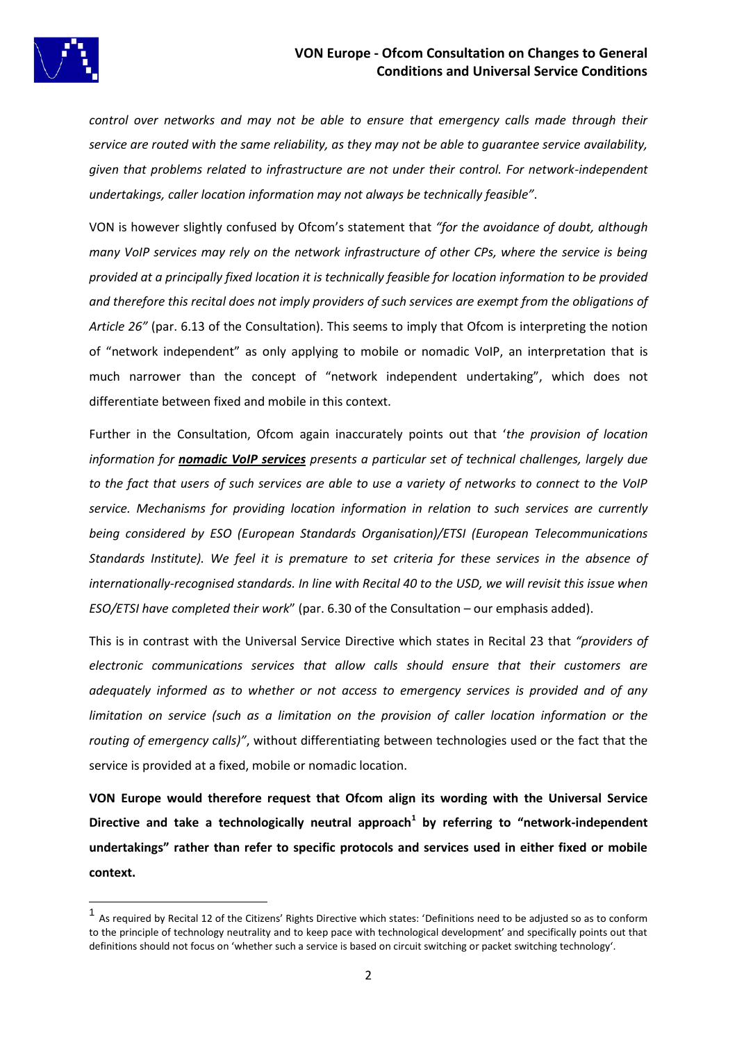

**.** 

*control over networks and may not be able to ensure that emergency calls made through their service are routed with the same reliability, as they may not be able to guarantee service availability, given that problems related to infrastructure are not under their control. For network-independent undertakings, caller location information may not always be technically feasible"*.

VON is however slightly confused by Ofcom's statement that *"for the avoidance of doubt, although many VoIP services may rely on the network infrastructure of other CPs, where the service is being provided at a principally fixed location it is technically feasible for location information to be provided and therefore this recital does not imply providers of such services are exempt from the obligations of Article 26"* (par. 6.13 of the Consultation). This seems to imply that Ofcom is interpreting the notion of "network independent" as only applying to mobile or nomadic VoIP, an interpretation that is much narrower than the concept of "network independent undertaking", which does not differentiate between fixed and mobile in this context.

Further in the Consultation, Ofcom again inaccurately points out that '*the provision of location information for nomadic VoIP services presents a particular set of technical challenges, largely due to the fact that users of such services are able to use a variety of networks to connect to the VoIP service. Mechanisms for providing location information in relation to such services are currently being considered by ESO (European Standards Organisation)/ETSI (European Telecommunications Standards Institute). We feel it is premature to set criteria for these services in the absence of internationally-recognised standards. In line with Recital 40 to the USD, we will revisit this issue when ESO/ETSI have completed their work*" (par. 6.30 of the Consultation – our emphasis added).

This is in contrast with the Universal Service Directive which states in Recital 23 that *"providers of electronic communications services that allow calls should ensure that their customers are adequately informed as to whether or not access to emergency services is provided and of any limitation on service (such as a limitation on the provision of caller location information or the routing of emergency calls)"*, without differentiating between technologies used or the fact that the service is provided at a fixed, mobile or nomadic location.

**VON Europe would therefore request that Ofcom align its wording with the Universal Service Directive and take a technologically neutral approach<sup>1</sup> by referring to "network-independent undertakings" rather than refer to specific protocols and services used in either fixed or mobile context.**

<sup>1</sup> As required by Recital 12 of the Citizens' Rights Directive which states: 'Definitions need to be adjusted so as to conform to the principle of technology neutrality and to keep pace with technological development' and specifically points out that definitions should not focus on 'whether such a service is based on circuit switching or packet switching technology'.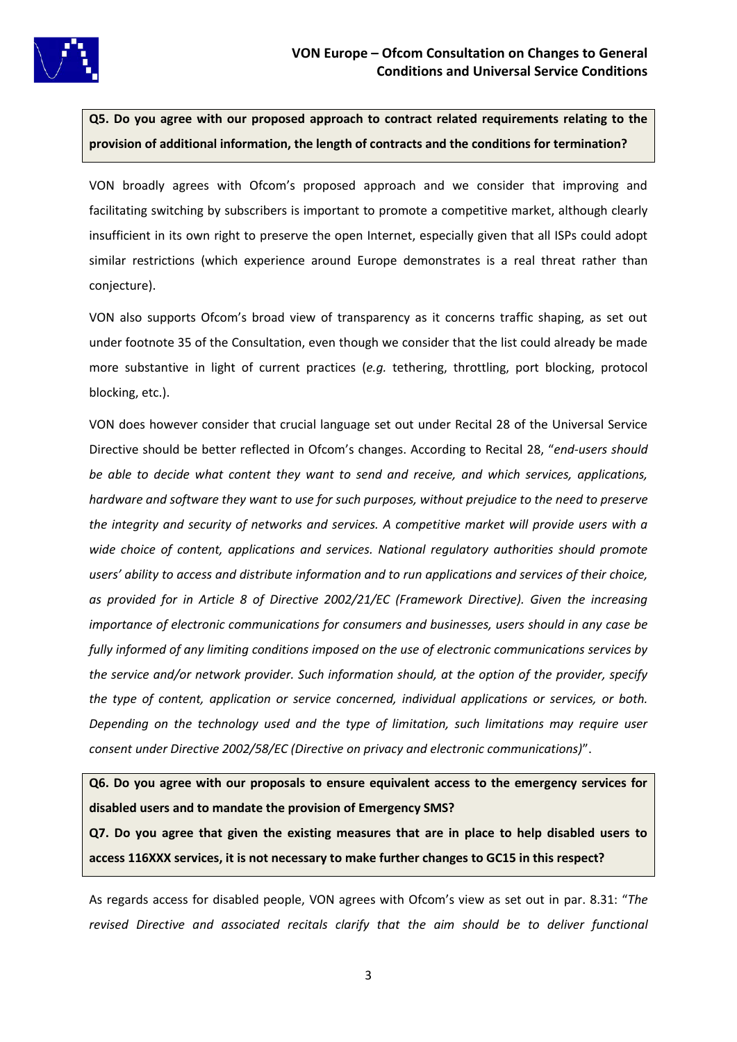

**Q5. Do you agree with our proposed approach to contract related requirements relating to the provision of additional information, the length of contracts and the conditions for termination?**

VON broadly agrees with Ofcom's proposed approach and we consider that improving and facilitating switching by subscribers is important to promote a competitive market, although clearly insufficient in its own right to preserve the open Internet, especially given that all ISPs could adopt similar restrictions (which experience around Europe demonstrates is a real threat rather than conjecture).

VON also supports Ofcom's broad view of transparency as it concerns traffic shaping, as set out under footnote 35 of the Consultation, even though we consider that the list could already be made more substantive in light of current practices (*e.g.* tethering, throttling, port blocking, protocol blocking, etc.).

VON does however consider that crucial language set out under Recital 28 of the Universal Service Directive should be better reflected in Ofcom's changes. According to Recital 28, "*end-users should be able to decide what content they want to send and receive, and which services, applications, hardware and software they want to use for such purposes, without prejudice to the need to preserve the integrity and security of networks and services. A competitive market will provide users with a wide choice of content, applications and services. National regulatory authorities should promote users' ability to access and distribute information and to run applications and services of their choice, as provided for in Article 8 of Directive 2002/21/EC (Framework Directive). Given the increasing importance of electronic communications for consumers and businesses, users should in any case be fully informed of any limiting conditions imposed on the use of electronic communications services by the service and/or network provider. Such information should, at the option of the provider, specify the type of content, application or service concerned, individual applications or services, or both. Depending on the technology used and the type of limitation, such limitations may require user consent under Directive 2002/58/EC (Directive on privacy and electronic communications)*".

**Q6. Do you agree with our proposals to ensure equivalent access to the emergency services for disabled users and to mandate the provision of Emergency SMS?**

**Q7. Do you agree that given the existing measures that are in place to help disabled users to access 116XXX services, it is not necessary to make further changes to GC15 in this respect?**

As regards access for disabled people, VON agrees with Ofcom's view as set out in par. 8.31: "*The revised Directive and associated recitals clarify that the aim should be to deliver functional*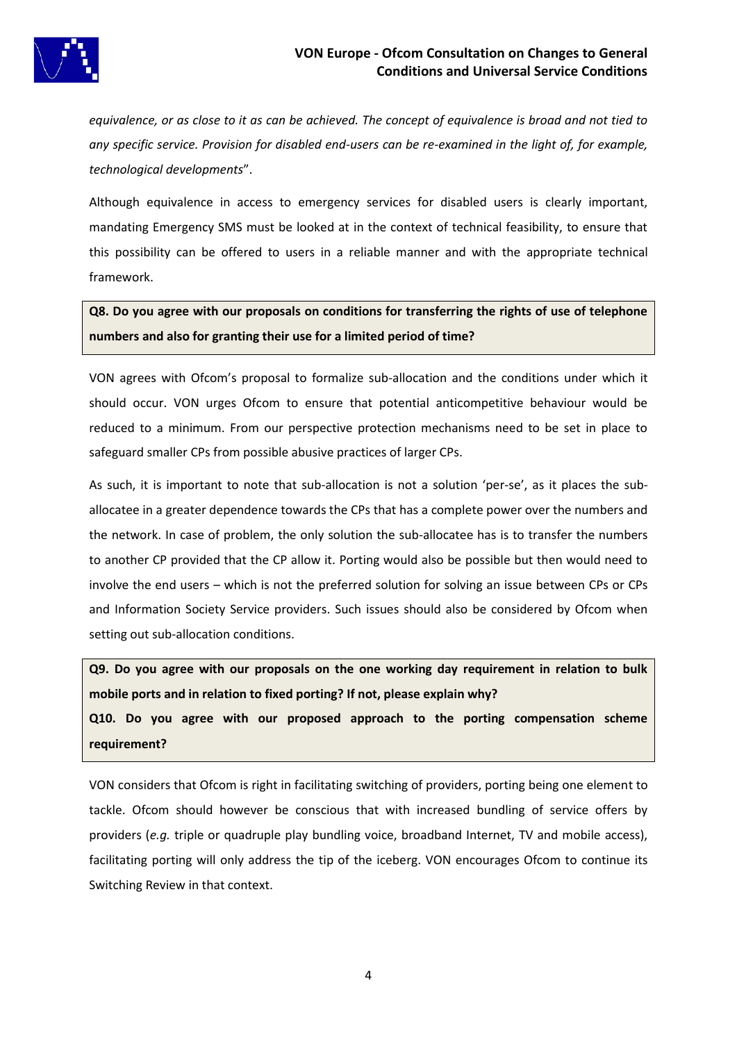

*equivalence, or as close to it as can be achieved. The concept of equivalence is broad and not tied to any specific service. Provision for disabled end-users can be re-examined in the light of, for example, technological developments*".

Although equivalence in access to emergency services for disabled users is clearly important, mandating Emergency SMS must be looked at in the context of technical feasibility, to ensure that this possibility can be offered to users in a reliable manner and with the appropriate technical framework.

**Q8. Do you agree with our proposals on conditions for transferring the rights of use of telephone numbers and also for granting their use for a limited period of time?**

VON agrees with Ofcom's proposal to formalize sub-allocation and the conditions under which it should occur. VON urges Ofcom to ensure that potential anticompetitive behaviour would be reduced to a minimum. From our perspective protection mechanisms need to be set in place to safeguard smaller CPs from possible abusive practices of larger CPs.

As such, it is important to note that sub-allocation is not a solution 'per-se', as it places the suballocatee in a greater dependence towards the CPs that has a complete power over the numbers and the network. In case of problem, the only solution the sub-allocatee has is to transfer the numbers to another CP provided that the CP allow it. Porting would also be possible but then would need to involve the end users – which is not the preferred solution for solving an issue between CPs or CPs and Information Society Service providers. Such issues should also be considered by Ofcom when setting out sub-allocation conditions.

**Q9. Do you agree with our proposals on the one working day requirement in relation to bulk mobile ports and in relation to fixed porting? If not, please explain why?**

**Q10. Do you agree with our proposed approach to the porting compensation scheme requirement?**

VON considers that Ofcom is right in facilitating switching of providers, porting being one element to tackle. Ofcom should however be conscious that with increased bundling of service offers by providers (*e.g.* triple or quadruple play bundling voice, broadband Internet, TV and mobile access), facilitating porting will only address the tip of the iceberg. VON encourages Ofcom to continue its Switching Review in that context.